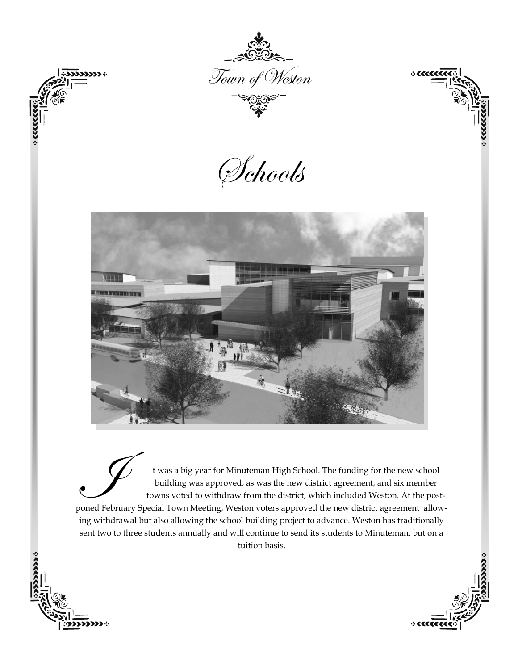

.<br>1333 :

 $+$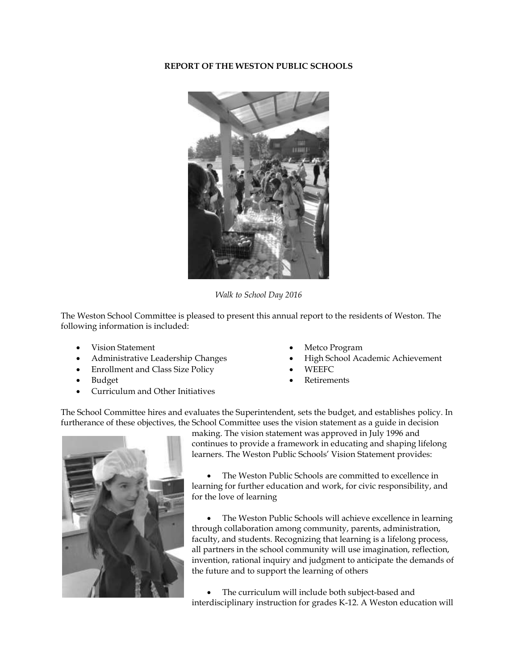# **REPORT OF THE WESTON PUBLIC SCHOOLS**



*Walk to School Day 2016*

The Weston School Committee is pleased to present this annual report to the residents of Weston. The following information is included:

- Vision Statement
- Administrative Leadership Changes
- Enrollment and Class Size Policy
- Budget
- Curriculum and Other Initiatives
- Metco Program
- High School Academic Achievement
- WEEFC
- Retirements

The School Committee hires and evaluates the Superintendent, sets the budget, and establishes policy. In furtherance of these objectives, the School Committee uses the vision statement as a guide in decision



making. The vision statement was approved in July 1996 and continues to provide a framework in educating and shaping lifelong learners. The Weston Public Schools' Vision Statement provides:

 The Weston Public Schools are committed to excellence in learning for further education and work, for civic responsibility, and for the love of learning

• The Weston Public Schools will achieve excellence in learning through collaboration among community, parents, administration, faculty, and students. Recognizing that learning is a lifelong process, all partners in the school community will use imagination, reflection, invention, rational inquiry and judgment to anticipate the demands of the future and to support the learning of others

 The curriculum will include both subject-based and interdisciplinary instruction for grades K-12. A Weston education will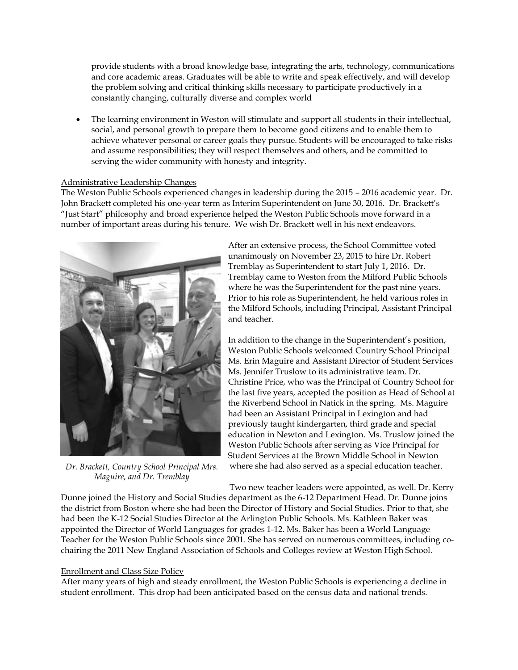provide students with a broad knowledge base, integrating the arts, technology, communications and core academic areas. Graduates will be able to write and speak effectively, and will develop the problem solving and critical thinking skills necessary to participate productively in a constantly changing, culturally diverse and complex world

 The learning environment in Weston will stimulate and support all students in their intellectual, social, and personal growth to prepare them to become good citizens and to enable them to achieve whatever personal or career goals they pursue. Students will be encouraged to take risks and assume responsibilities; they will respect themselves and others, and be committed to serving the wider community with honesty and integrity.

#### Administrative Leadership Changes

The Weston Public Schools experienced changes in leadership during the 2015 – 2016 academic year. Dr. John Brackett completed his one-year term as Interim Superintendent on June 30, 2016. Dr. Brackett's "Just Start" philosophy and broad experience helped the Weston Public Schools move forward in a number of important areas during his tenure. We wish Dr. Brackett well in his next endeavors.



*Dr. Brackett, Country School Principal Mrs. Maguire, and Dr. Tremblay*

After an extensive process, the School Committee voted unanimously on November 23, 2015 to hire Dr. Robert Tremblay as Superintendent to start July 1, 2016. Dr. Tremblay came to Weston from the Milford Public Schools where he was the Superintendent for the past nine years. Prior to his role as Superintendent, he held various roles in the Milford Schools, including Principal, Assistant Principal and teacher.

In addition to the change in the Superintendent's position, Weston Public Schools welcomed Country School Principal Ms. Erin Maguire and Assistant Director of Student Services Ms. Jennifer Truslow to its administrative team. Dr. Christine Price, who was the Principal of Country School for the last five years, accepted the position as Head of School at the Riverbend School in Natick in the spring. Ms. Maguire had been an Assistant Principal in Lexington and had previously taught kindergarten, third grade and special education in Newton and Lexington. Ms. Truslow joined the Weston Public Schools after serving as Vice Principal for Student Services at the Brown Middle School in Newton where she had also served as a special education teacher.

Two new teacher leaders were appointed, as well. Dr. Kerry Dunne joined the History and Social Studies department as the 6-12 Department Head. Dr. Dunne joins the district from Boston where she had been the Director of History and Social Studies. Prior to that, she had been the K-12 Social Studies Director at the Arlington Public Schools. Ms. Kathleen Baker was appointed the Director of World Languages for grades 1-12. Ms. Baker has been a World Language Teacher for the Weston Public Schools since 2001. She has served on numerous committees, including cochairing the 2011 New England Association of Schools and Colleges review at Weston High School.

## Enrollment and Class Size Policy

After many years of high and steady enrollment, the Weston Public Schools is experiencing a decline in student enrollment. This drop had been anticipated based on the census data and national trends.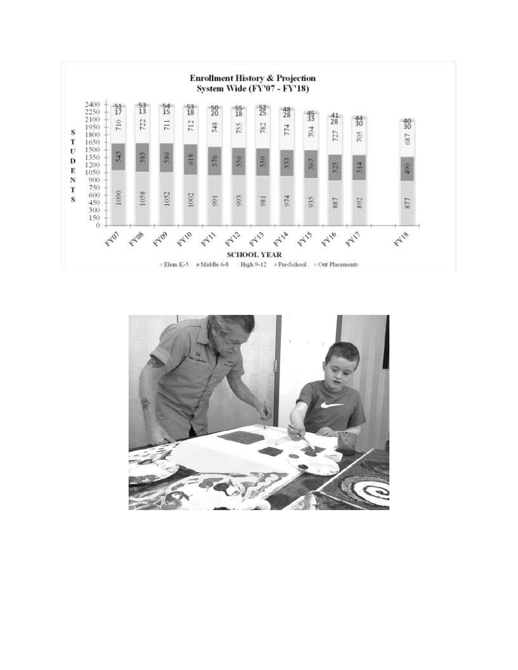

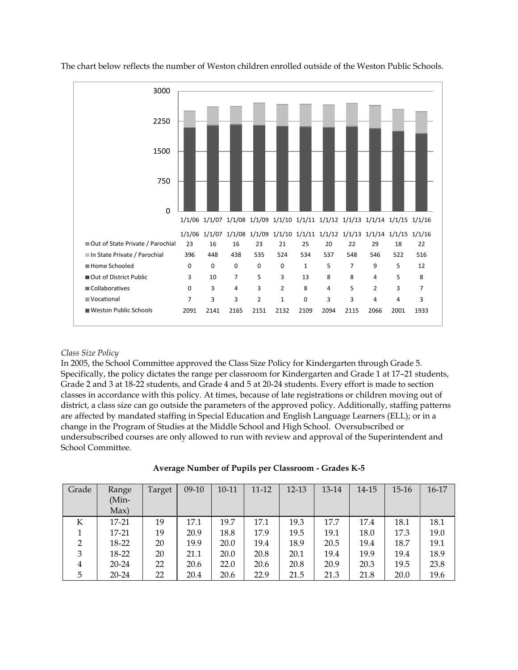

The chart below reflects the number of Weston children enrolled outside of the Weston Public Schools.

## *Class Size Policy*

In 2005, the School Committee approved the Class Size Policy for Kindergarten through Grade 5. Specifically, the policy dictates the range per classroom for Kindergarten and Grade 1 at 17–21 students, Grade 2 and 3 at 18-22 students, and Grade 4 and 5 at 20-24 students. Every effort is made to section classes in accordance with this policy. At times, because of late registrations or children moving out of district, a class size can go outside the parameters of the approved policy. Additionally, staffing patterns are affected by mandated staffing in Special Education and English Language Learners (ELL); or in a change in the Program of Studies at the Middle School and High School. Oversubscribed or undersubscribed courses are only allowed to run with review and approval of the Superintendent and School Committee.

| Grade          | Range<br>(Min-<br>Max) | Target | $09-10$ | 10-11 | 11-12 | 12-13 | 13-14 | 14-15 | $15 - 16$ | $16 - 17$ |
|----------------|------------------------|--------|---------|-------|-------|-------|-------|-------|-----------|-----------|
| К              | 17-21                  | 19     | 17.1    | 19.7  | 17.1  | 19.3  | 17.7  | 17.4  | 18.1      | 18.1      |
|                | 17-21                  | 19     | 20.9    | 18.8  | 17.9  | 19.5  | 19.1  | 18.0  | 17.3      | 19.0      |
| $\overline{2}$ | 18-22                  | 20     | 19.9    | 20.0  | 19.4  | 18.9  | 20.5  | 19.4  | 18.7      | 19.1      |
| 3              | 18-22                  | 20     | 21.1    | 20.0  | 20.8  | 20.1  | 19.4  | 19.9  | 19.4      | 18.9      |
| $\overline{4}$ | 20-24                  | 22     | 20.6    | 22.0  | 20.6  | 20.8  | 20.9  | 20.3  | 19.5      | 23.8      |
| 5              | 20-24                  | 22     | 20.4    | 20.6  | 22.9  | 21.5  | 21.3  | 21.8  | 20.0      | 19.6      |

|  |  | Average Number of Pupils per Classroom - Grades K-5 |  |
|--|--|-----------------------------------------------------|--|
|  |  |                                                     |  |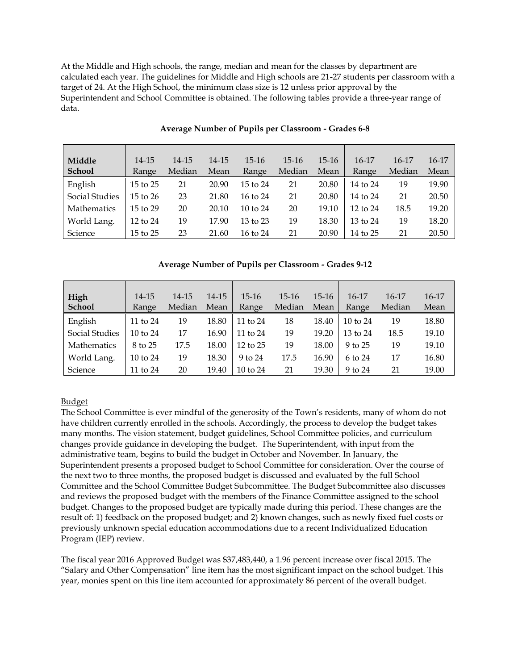At the Middle and High schools, the range, median and mean for the classes by department are calculated each year. The guidelines for Middle and High schools are 21-27 students per classroom with a target of 24. At the High School, the minimum class size is 12 unless prior approval by the Superintendent and School Committee is obtained. The following tables provide a three-year range of data.

| Middle             | $14 - 15$    | 14-15  | $14 - 15$ | $15-16$             | $15-16$ | $15-16$ | $16-17$             | 16-17  | $16-17$ |
|--------------------|--------------|--------|-----------|---------------------|---------|---------|---------------------|--------|---------|
| <b>School</b>      | Range        | Median | Mean      | Range               | Median  | Mean    | Range               | Median | Mean    |
| English            | 15 to 25     | 21     | 20.90     | 15 to 24            | 21      | 20.80   | 14 to 24            | 19     | 19.90   |
| Social Studies     | $15$ to $26$ | 23     | 21.80     | 16 to 24            | 21      | 20.80   | 14 to 24            | 21     | 20.50   |
| <b>Mathematics</b> | $15$ to $29$ | 20     | 20.10     | $10 \text{ to } 24$ | 20      | 19.10   | $12 \text{ to } 24$ | 18.5   | 19.20   |
| World Lang.        | 12 to 24     | 19     | 17.90     | $13$ to $23$        | 19      | 18.30   | $13 \text{ to } 24$ | 19     | 18.20   |
| Science            | 15 to 25     | 23     | 21.60     | 16 to 24            | 21      | 20.90   | 14 to 25            | 21     | 20.50   |

# **Average Number of Pupils per Classroom - Grades 6-8**

# **Average Number of Pupils per Classroom - Grades 9-12**

| High<br><b>School</b> | 14-15<br>Range      | 14-15<br>Median | 14-15<br>Mean | $15-16$<br>Range | $15-16$<br>Median | $15-16$<br>Mean | $16-17$<br>Range | 16-17<br>Median | 16-17<br>Mean |
|-----------------------|---------------------|-----------------|---------------|------------------|-------------------|-----------------|------------------|-----------------|---------------|
| English               | 11 to 24            | 19              | 18.80         | 11 to 24         | 18                | 18.40           | 10 to 24         | 19              | 18.80         |
| Social Studies        | $10 \text{ to } 24$ | 17              | 16.90         | 11 to $24$       | 19                | 19.20           | $13$ to $24$     | 18.5            | 19.10         |
| Mathematics           | 8 to 25             | 17.5            | 18.00         | 12 to 25         | 19                | 18.00           | 9 to 25          | 19              | 19.10         |
| World Lang.           | $10 \text{ to } 24$ | 19              | 18.30         | $9$ to $24$      | 17.5              | 16.90           | 6 to 24          | 17              | 16.80         |
| Science               | 11 to 24            | 20              | 19.40         | 10 to 24         | 21                | 19.30           | 9 to 24          | 21              | 19.00         |

## Budget

The School Committee is ever mindful of the generosity of the Town's residents, many of whom do not have children currently enrolled in the schools. Accordingly, the process to develop the budget takes many months. The vision statement, budget guidelines, School Committee policies, and curriculum changes provide guidance in developing the budget. The Superintendent, with input from the administrative team, begins to build the budget in October and November. In January, the Superintendent presents a proposed budget to School Committee for consideration. Over the course of the next two to three months, the proposed budget is discussed and evaluated by the full School Committee and the School Committee Budget Subcommittee. The Budget Subcommittee also discusses and reviews the proposed budget with the members of the Finance Committee assigned to the school budget. Changes to the proposed budget are typically made during this period. These changes are the result of: 1) feedback on the proposed budget; and 2) known changes, such as newly fixed fuel costs or previously unknown special education accommodations due to a recent Individualized Education Program (IEP) review.

The fiscal year 2016 Approved Budget was \$37,483,440, a 1.96 percent increase over fiscal 2015. The "Salary and Other Compensation" line item has the most significant impact on the school budget. This year, monies spent on this line item accounted for approximately 86 percent of the overall budget.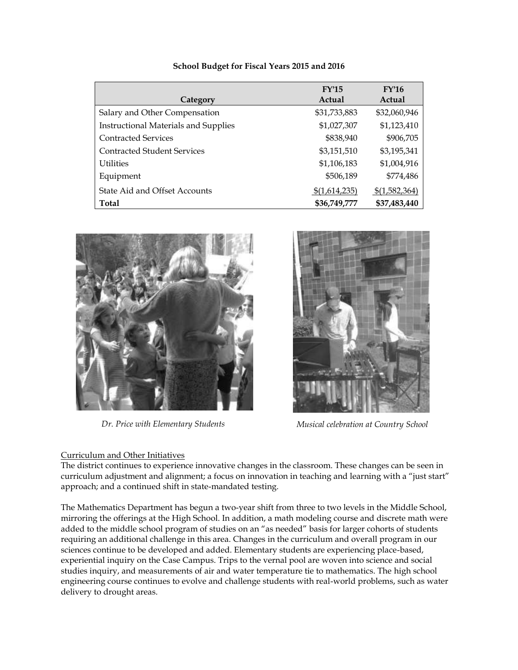| Category                                    | FY'15<br>Actual | FY'16<br>Actual |
|---------------------------------------------|-----------------|-----------------|
| Salary and Other Compensation               | \$31,733,883    | \$32,060,946    |
| <b>Instructional Materials and Supplies</b> | \$1,027,307     | \$1,123,410     |
| <b>Contracted Services</b>                  | \$838,940       | \$906,705       |
| <b>Contracted Student Services</b>          | \$3,151,510     | \$3,195,341     |
| <b>Utilities</b>                            | \$1,106,183     | \$1,004,916     |
| Equipment                                   | \$506,189       | \$774,486       |
| State Aid and Offset Accounts               | \$(1,614,235)   | \$(1,582,364)   |
| <b>Total</b>                                | \$36,749,777    | \$37,483,440    |

# **School Budget for Fiscal Years 2015 and 2016**



# Curriculum and Other Initiatives



*Dr. Price with Elementary Students Musical celebration at Country School*

The district continues to experience innovative changes in the classroom. These changes can be seen in curriculum adjustment and alignment; a focus on innovation in teaching and learning with a "just start" approach; and a continued shift in state-mandated testing.

The Mathematics Department has begun a two-year shift from three to two levels in the Middle School, mirroring the offerings at the High School. In addition, a math modeling course and discrete math were added to the middle school program of studies on an "as needed" basis for larger cohorts of students requiring an additional challenge in this area. Changes in the curriculum and overall program in our sciences continue to be developed and added. Elementary students are experiencing place-based, experiential inquiry on the Case Campus. Trips to the vernal pool are woven into science and social studies inquiry, and measurements of air and water temperature tie to mathematics. The high school engineering course continues to evolve and challenge students with real-world problems, such as water delivery to drought areas.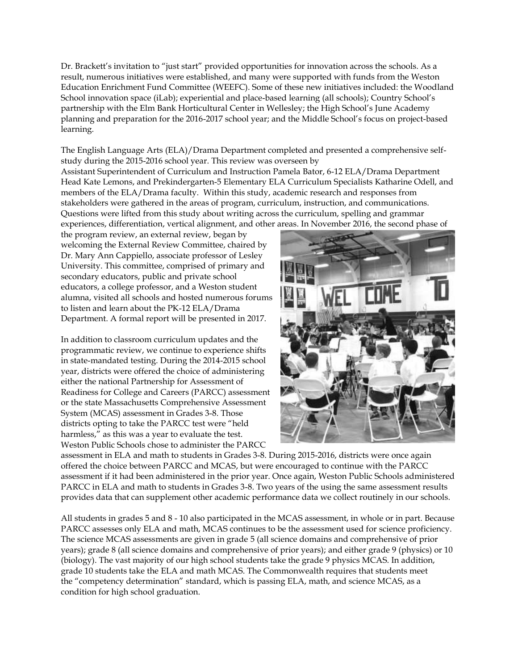Dr. Brackett's invitation to "just start" provided opportunities for innovation across the schools. As a result, numerous initiatives were established, and many were supported with funds from the Weston Education Enrichment Fund Committee (WEEFC). Some of these new initiatives included: the Woodland School innovation space (iLab); experiential and place-based learning (all schools); Country School's partnership with the Elm Bank Horticultural Center in Wellesley; the High School's June Academy planning and preparation for the 2016-2017 school year; and the Middle School's focus on project-based learning.

The English Language Arts (ELA)/Drama Department completed and presented a comprehensive selfstudy during the 2015-2016 school year. This review was overseen by

Assistant Superintendent of Curriculum and Instruction Pamela Bator, 6-12 ELA/Drama Department Head Kate Lemons, and Prekindergarten-5 Elementary ELA Curriculum Specialists Katharine Odell, and members of the ELA/Drama faculty. Within this study, academic research and responses from stakeholders were gathered in the areas of program, curriculum, instruction, and communications. Questions were lifted from this study about writing across the curriculum, spelling and grammar experiences, differentiation, vertical alignment, and other areas. In November 2016, the second phase of

the program review, an external review, began by welcoming the External Review Committee, chaired by Dr. Mary Ann Cappiello, associate professor of Lesley University. This committee, comprised of primary and secondary educators, public and private school educators, a college professor, and a Weston student alumna, visited all schools and hosted numerous forums to listen and learn about the PK-12 ELA/Drama Department. A formal report will be presented in 2017.

In addition to classroom curriculum updates and the programmatic review, we continue to experience shifts in state-mandated testing. During the 2014-2015 school year, districts were offered the choice of administering either the national Partnership for Assessment of Readiness for College and Careers (PARCC) assessment or the state Massachusetts Comprehensive Assessment System (MCAS) assessment in Grades 3-8. Those districts opting to take the PARCC test were "held harmless," as this was a year to evaluate the test. Weston Public Schools chose to administer the PARCC



assessment in ELA and math to students in Grades 3-8. During 2015-2016, districts were once again offered the choice between PARCC and MCAS, but were encouraged to continue with the PARCC assessment if it had been administered in the prior year. Once again, Weston Public Schools administered PARCC in ELA and math to students in Grades 3-8. Two years of the using the same assessment results provides data that can supplement other academic performance data we collect routinely in our schools.

All students in grades 5 and 8 - 10 also participated in the MCAS assessment, in whole or in part. Because PARCC assesses only ELA and math, MCAS continues to be the assessment used for science proficiency. The science MCAS assessments are given in grade 5 (all science domains and comprehensive of prior years); grade 8 (all science domains and comprehensive of prior years); and either grade 9 (physics) or 10 (biology). The vast majority of our high school students take the grade 9 physics MCAS. In addition, grade 10 students take the ELA and math MCAS. The Commonwealth requires that students meet the "competency determination" standard, which is passing ELA, math, and science MCAS, as a condition for high school graduation.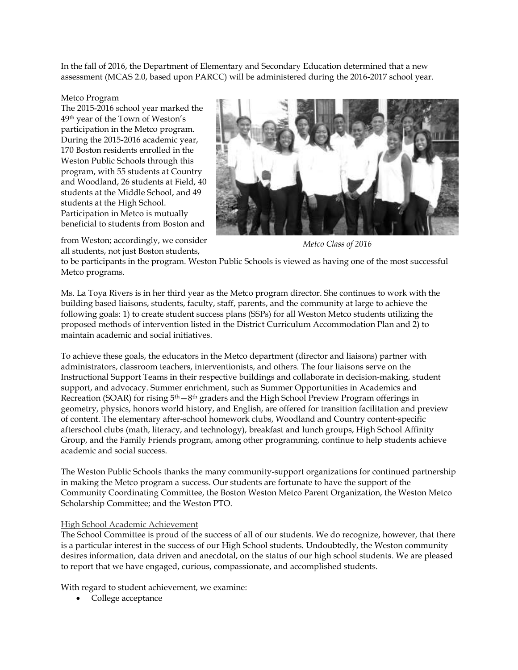In the fall of 2016, the Department of Elementary and Secondary Education determined that a new assessment (MCAS 2.0, based upon PARCC) will be administered during the 2016-2017 school year.

#### Metco Program

The 2015-2016 school year marked the 49th year of the Town of Weston's participation in the Metco program. During the 2015-2016 academic year, 170 Boston residents enrolled in the Weston Public Schools through this program, with 55 students at Country and Woodland, 26 students at Field, 40 students at the Middle School, and 49 students at the High School. Participation in Metco is mutually beneficial to students from Boston and



from Weston; accordingly, we consider all students, not just Boston students,

*Metco Class of 2016*

to be participants in the program. Weston Public Schools is viewed as having one of the most successful Metco programs.

Ms. La Toya Rivers is in her third year as the Metco program director. She continues to work with the building based liaisons, students, faculty, staff, parents, and the community at large to achieve the following goals: 1) to create student success plans (SSPs) for all Weston Metco students utilizing the proposed methods of intervention listed in the District Curriculum Accommodation Plan and 2) to maintain academic and social initiatives.

To achieve these goals, the educators in the Metco department (director and liaisons) partner with administrators, classroom teachers, interventionists, and others. The four liaisons serve on the Instructional Support Teams in their respective buildings and collaborate in decision-making, student support, and advocacy. Summer enrichment, such as Summer Opportunities in Academics and Recreation (SOAR) for rising 5<sup>th</sup>—8<sup>th</sup> graders and the High School Preview Program offerings in geometry, physics, honors world history, and English, are offered for transition facilitation and preview of content. The elementary after-school homework clubs, Woodland and Country content-specific afterschool clubs (math, literacy, and technology), breakfast and lunch groups, High School Affinity Group, and the Family Friends program, among other programming, continue to help students achieve academic and social success.

The Weston Public Schools thanks the many community-support organizations for continued partnership in making the Metco program a success. Our students are fortunate to have the support of the Community Coordinating Committee, the Boston Weston Metco Parent Organization, the Weston Metco Scholarship Committee; and the Weston PTO.

## High School Academic Achievement

The School Committee is proud of the success of all of our students. We do recognize, however, that there is a particular interest in the success of our High School students. Undoubtedly, the Weston community desires information, data driven and anecdotal, on the status of our high school students. We are pleased to report that we have engaged, curious, compassionate, and accomplished students.

With regard to student achievement, we examine:

• College acceptance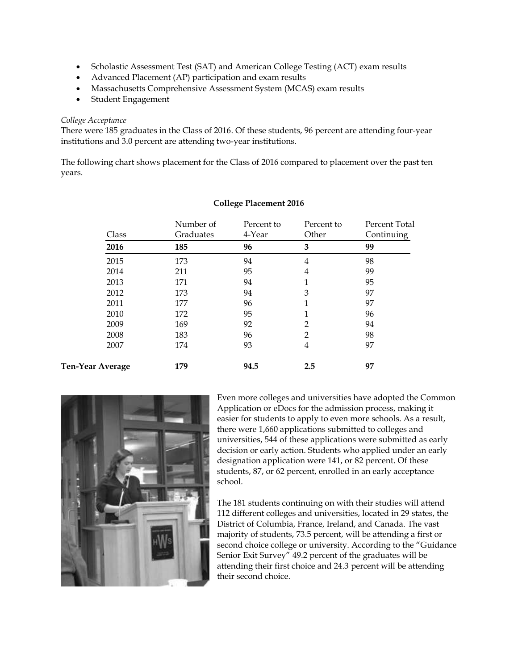- Scholastic Assessment Test (SAT) and American College Testing (ACT) exam results
- Advanced Placement (AP) participation and exam results
- Massachusetts Comprehensive Assessment System (MCAS) exam results
- Student Engagement

# *College Acceptance*

There were 185 graduates in the Class of 2016. Of these students, 96 percent are attending four-year institutions and 3.0 percent are attending two-year institutions.

The following chart shows placement for the Class of 2016 compared to placement over the past ten years.

| Class            | Number of<br>Graduates | Percent to<br>4-Year | Percent to<br>Other | Percent Total<br>Continuing |
|------------------|------------------------|----------------------|---------------------|-----------------------------|
| 2016             | 185                    | 96                   | 3                   | 99                          |
| 2015             | 173                    | 94                   | 4                   | 98                          |
| 2014             | 211                    | 95                   | 4                   | 99                          |
| 2013             | 171                    | 94                   | 1                   | 95                          |
| 2012             | 173                    | 94                   | 3                   | 97                          |
| 2011             | 177                    | 96                   | 1                   | 97                          |
| 2010             | 172                    | 95                   | 1                   | 96                          |
| 2009             | 169                    | 92                   | $\overline{2}$      | 94                          |
| 2008             | 183                    | 96                   | 2                   | 98                          |
| 2007             | 174                    | 93                   | 4                   | 97                          |
| Ten-Year Average | 179                    | 94.5                 | 2.5                 | 97                          |

# **College Placement 2016**



Even more colleges and universities have adopted the Common Application or eDocs for the admission process, making it easier for students to apply to even more schools. As a result, there were 1,660 applications submitted to colleges and universities, 544 of these applications were submitted as early decision or early action. Students who applied under an early designation application were 141, or 82 percent. Of these students, 87, or 62 percent, enrolled in an early acceptance school.

The 181 students continuing on with their studies will attend 112 different colleges and universities, located in 29 states, the District of Columbia, France, Ireland, and Canada. The vast majority of students, 73.5 percent, will be attending a first or second choice college or university. According to the "Guidance Senior Exit Survey" 49.2 percent of the graduates will be attending their first choice and 24.3 percent will be attending their second choice.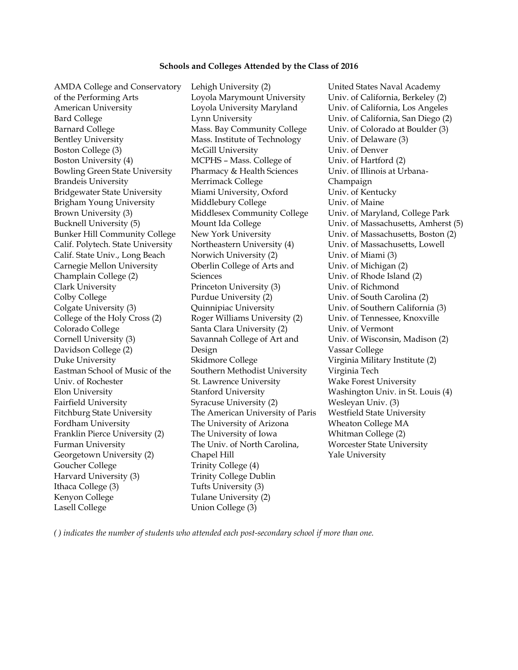#### **Schools and Colleges Attended by the Class of 2016**

AMDA College and Conservatory of the Performing Arts American University Loyola University Maryland Univ. of California, Los Angeles Bard College **Lynn University** Univ. of California, San Diego (2) Barnard College Mass. Bay Community College Univ. of Colorado at Boulder (3) Bentley University Mass. Institute of Technology Univ. of Delaware (3) Boston College (3) McGill University Univ. of Denver Boston University (4) MCPHS - Mass. College of Bowling Green State University Pharmacy & Health Sciences Univ. of Illinois at Urbana-Brandeis University **Merrimack College** Champaign Bridgewater State University Miami University, Oxford Univ. of Kentucky Brigham Young University Middlebury College **University** Univ. of Maine Brown University (3) Middlesex Community College Univ. of Maryland, College Park Calif. Polytech. State University Northeastern University (4) Univ. of Massachusetts, Lowell Calif. State Univ., Long Beach Norwich University (2) Univ. of Miami (3) Carnegie Mellon University Oberlin College of Arts and Champlain College (2) Sciences Univ. of Rhode Island (2) Clark University Princeton University (3) Univ. of Richmond Colby College **Purdue University (2)** Univ. of South Carolina (2) Colgate University (3) Quinnipiac University Univ. of Southern California (3) College of the Holy Cross (2) Roger Williams University (2) Univ. of Tennessee, Knoxville Colorado College Santa Clara University (2) Univ. of Vermont Cornell University (3) Savannah College of Art and Davidson College (2) Vassar College Duke University Skidmore College Virginia Military Institute (2) Eastman School of Music of the Univ. of Rochester Elon University Stanford University Washington Univ. in St. Louis (4) Fairfield University **Syracuse University (2)** Wesleyan Univ. (3) Fitchburg State University The American University of Paris Westfield State University Fordham University The University of Arizona Wheaton College MA Franklin Pierce University (2) The University of Iowa Whitman College (2) Furman University The Univ. of North Carolina, Georgetown University (2) Chapel Hill **Source According to According the Vale University** Goucher College Trinity College (4) Harvard University (3) Trinity College Dublin Ithaca College (3) Tufts University (3) Kenyon College Tulane University (2) Lasell College Union College (3)

Lehigh University (2) United States Naval Academy Loyola Marymount University Univ. of California, Berkeley (2) Pharmacy & Health Sciences Sciences Design Southern Methodist University Virginia Tech St. Lawrence University Wake Forest University Chapel Hill

Univ. of Hartford (2) Bucknell University (5) Mount Ida College Univ. of Massachusetts, Amherst (5) Bunker Hill Community College New York University Univ. of Massachusetts, Boston (2) Univ. of Michigan (2) Univ. of Wisconsin, Madison (2) Worcester State University

*( ) indicates the number of students who attended each post-secondary school if more than one.*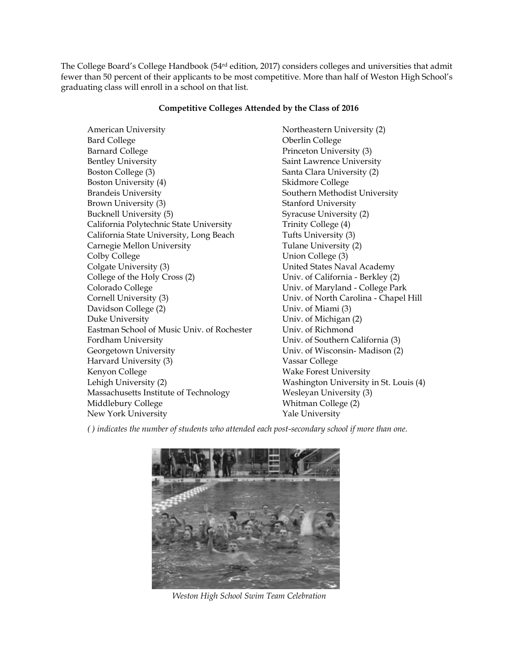The College Board's College Handbook (54 $^{\rm rd}$  edition, 2017) considers colleges and universities that admit fewer than 50 percent of their applicants to be most competitive. More than half of Weston High School's graduating class will enroll in a school on that list.

# **Competitive Colleges Attended by the Class of 2016**

American University **Northeastern University** (2) Bard College **Oberlin College** Barnard College Princeton University (3) Bentley University Saint Lawrence University Boston College (3) Santa Clara University (2) Boston University (4) Skidmore College Brandeis University Southern Methodist University Brown University (3) Stanford University Bucknell University (5) Syracuse University (2) California Polytechnic State University Trinity College (4) California State University, Long Beach Tufts University (3) Carnegie Mellon University Tulane University (2) Colby College Union College (3) Colgate University (3) United States Naval Academy College of the Holy Cross (2) Univ. of California - Berkley (2) Colorado College Univ. of Maryland - College Park Cornell University (3) Univ. of North Carolina - Chapel Hill Davidson College (2) Univ. of Miami (3) Duke University Univ. of Michigan (2) Eastman School of Music Univ. of Rochester Univ. of Richmond Fordham University Univ. of Southern California (3) Georgetown University Univ. of Wisconsin- Madison (2) Harvard University (3) Vassar College Kenyon College Wake Forest University Lehigh University (2)<br>
Mashington University in St. Louis (4)<br>
Massachusetts Institute of Technology<br>
Wesleyan University (3) Massachusetts Institute of Technology Middlebury College Whitman College (2) New York University **Yale University** 

*( ) indicates the number of students who attended each post-secondary school if more than one.*



*Weston High School Swim Team Celebration*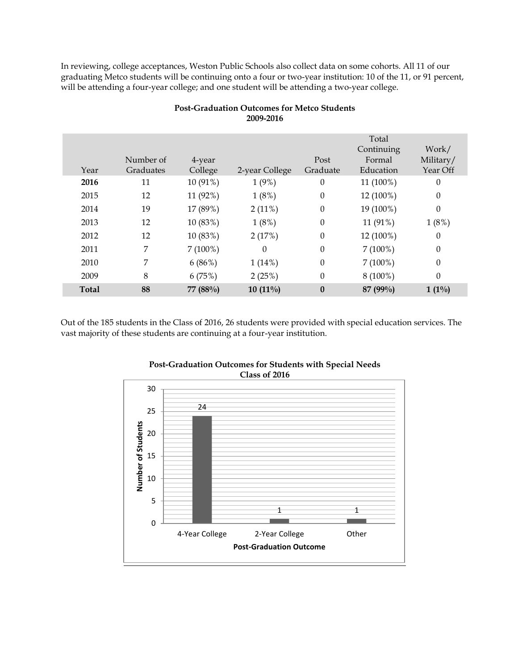In reviewing, college acceptances, Weston Public Schools also collect data on some cohorts. All 11 of our graduating Metco students will be continuing onto a four or two-year institution: 10 of the 11, or 91 percent, will be attending a four-year college; and one student will be attending a two-year college.

|              |           |            |                |                  | Total<br>Continuing | Work/            |
|--------------|-----------|------------|----------------|------------------|---------------------|------------------|
|              | Number of | 4-year     |                | Post             | Formal              | Military/        |
| Year         | Graduates | College    | 2-year College | Graduate         | Education           | Year Off         |
|              |           |            |                |                  |                     |                  |
| 2016         | 11        | 10 (91%)   | 1(9%)          | $\theta$         | 11 (100%)           | $\boldsymbol{0}$ |
| 2015         | 12        | 11 (92%)   | 1(8%)          | $\boldsymbol{0}$ | 12 (100%)           | $\boldsymbol{0}$ |
| 2014         | 19        | 17 (89%)   | $2(11\%)$      | $\boldsymbol{0}$ | 19 (100%)           | $\theta$         |
| 2013         | 12        | 10 (83%)   | 1(8%)          | 0                | 11 (91%)            | 1(8%)            |
| 2012         | 12        | 10 (83%)   | 2(17%)         | $\boldsymbol{0}$ | 12 (100%)           | $\boldsymbol{0}$ |
| 2011         | 7         | $7(100\%)$ | 0              | $\boldsymbol{0}$ | $7(100\%)$          | $\boldsymbol{0}$ |
| 2010         | 7         | 6(86%)     | 1(14%)         | $\boldsymbol{0}$ | $7(100\%)$          | $\boldsymbol{0}$ |
| 2009         | 8         | 6(75%)     | 2(25%)         | 0                | $8(100\%)$          | $\theta$         |
| <b>Total</b> | 88        | 77 (88%)   | $10(11\%)$     | $\boldsymbol{0}$ | 87 (99%)            | $1(1\%)$         |
|              |           |            |                |                  |                     |                  |

# **Post-Graduation Outcomes for Metco Students 2009-2016**

Out of the 185 students in the Class of 2016, 26 students were provided with special education services. The vast majority of these students are continuing at a four-year institution.



#### **Post-Graduation Outcomes for Students with Special Needs Class of 2016**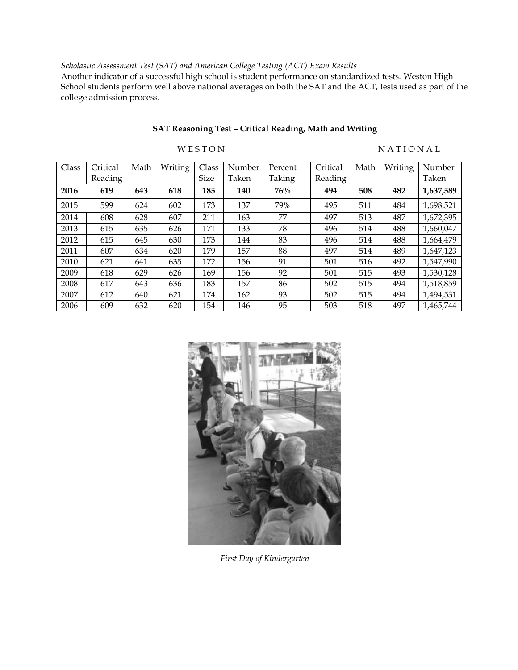# *Scholastic Assessment Test (SAT) and American College Testing (ACT) Exam Results*

Another indicator of a successful high school is student performance on standardized tests. Weston High School students perform well above national averages on both the SAT and the ACT, tests used as part of the college admission process.

| Class | Critical | Math | Writing | Class       | Number | Percent | Critical | Math | Writing | Number    |
|-------|----------|------|---------|-------------|--------|---------|----------|------|---------|-----------|
|       | Reading  |      |         | <b>Size</b> | Taken  | Taking  | Reading  |      |         | Taken     |
| 2016  | 619      | 643  | 618     | 185         | 140    | 76%     | 494      | 508  | 482     | 1,637,589 |
| 2015  | 599      | 624  | 602     | 173         | 137    | 79%     | 495      | 511  | 484     | 1,698,521 |
| 2014  | 608      | 628  | 607     | 211         | 163    | 77      | 497      | 513  | 487     | 1,672,395 |
| 2013  | 615      | 635  | 626     | 171         | 133    | 78      | 496      | 514  | 488     | 1,660,047 |
| 2012  | 615      | 645  | 630     | 173         | 144    | 83      | 496      | 514  | 488     | 1,664,479 |
| 2011  | 607      | 634  | 620     | 179         | 157    | 88      | 497      | 514  | 489     | 1,647,123 |
| 2010  | 621      | 641  | 635     | 172         | 156    | 91      | 501      | 516  | 492     | 1,547,990 |
| 2009  | 618      | 629  | 626     | 169         | 156    | 92      | 501      | 515  | 493     | 1,530,128 |
| 2008  | 617      | 643  | 636     | 183         | 157    | 86      | 502      | 515  | 494     | 1,518,859 |
| 2007  | 612      | 640  | 621     | 174         | 162    | 93      | 502      | 515  | 494     | 1,494,531 |
| 2006  | 609      | 632  | 620     | 154         | 146    | 95      | 503      | 518  | 497     | 1,465,744 |

# **SAT Reasoning Test – Critical Reading, Math and Writing**

**WESTON NATIONAL** 

*First Day of Kindergarten*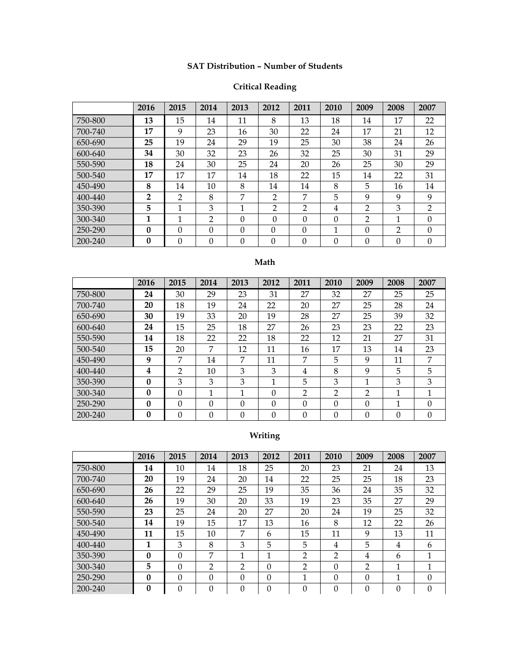# **SAT Distribution – Number of Students**

# **Critical Reading**

|         | 2016           | 2015     | 2014           | 2013     | 2012           | 2011           | 2010     | 2009     | 2008           | 2007           |
|---------|----------------|----------|----------------|----------|----------------|----------------|----------|----------|----------------|----------------|
| 750-800 | 13             | 15       | 14             | 11       | 8              | 13             | 18       | 14       | 17             | 22             |
| 700-740 | 17             | 9        | 23             | 16       | 30             | 22             | 24       | 17       | 21             | 12             |
| 650-690 | 25             | 19       | 24             | 29       | 19             | 25             | 30       | 38       | 24             | 26             |
| 600-640 | 34             | 30       | 32             | 23       | 26             | 32             | 25       | 30       | 31             | 29             |
| 550-590 | 18             | 24       | 30             | 25       | 24             | 20             | 26       | 25       | 30             | 29             |
| 500-540 | 17             | 17       | 17             | 14       | 18             | 22             | 15       | 14       | 22             | 31             |
| 450-490 | 8              | 14       | 10             | 8        | 14             | 14             | 8        | 5        | 16             | 14             |
| 400-440 | $\overline{2}$ | 2        | 8              | 7        | $\overline{2}$ | 7              | 5        | 9        | 9              | 9              |
| 350-390 | 5              | 1        | 3              | 1        | $\overline{2}$ | $\overline{2}$ | 4        | 2        | 3              | $\overline{2}$ |
| 300-340 | 1              | 1        | $\overline{2}$ | $\Omega$ | $\theta$       | $\theta$       | $\Omega$ | 2        | 1              | $\Omega$       |
| 250-290 | $\mathbf{0}$   | $\Omega$ | $\Omega$       | $\Omega$ | $\Omega$       | $\theta$       | 1        | $\Omega$ | $\mathfrak{D}$ | $\Omega$       |
| 200-240 | $\mathbf{0}$   | $\Omega$ | $\Omega$       | $\Omega$ | $\theta$       | $\Omega$       | $\Omega$ | 0        | $\theta$       | $\Omega$       |

# **Math**

|         | 2016 | 2015           | 2014     | 2013     | 2012           | 2011           | 2010           | 2009           | 2008 | 2007     |
|---------|------|----------------|----------|----------|----------------|----------------|----------------|----------------|------|----------|
| 750-800 | 24   | 30             | 29       | 23       | 31             | 27             | 32             | 27             | 25   | 25       |
| 700-740 | 20   | 18             | 19       | 24       | 22             | 20             | 27             | 25             | 28   | 24       |
| 650-690 | 30   | 19             | 33       | 20       | 19             | 28             | 27             | 25             | 39   | 32       |
| 600-640 | 24   | 15             | 25       | 18       | 27             | 26             | 23             | 23             | 22   | 23       |
| 550-590 | 14   | 18             | 22       | 22       | 18             | 22             | 12             | 21             | 27   | 31       |
| 500-540 | 15   | 20             | 7        | 12       | 11             | 16             | 17             | 13             | 14   | 23       |
| 450-490 | 9    | 7              | 14       | 7        | 11             | 7              | 5              | 9              | 11   | 7        |
| 400-440 | 4    | $\mathfrak{D}$ | 10       | 3        | 3              | 4              | 8              | 9              | 5    | 5        |
| 350-390 | 0    | 3              | 3        | 3        | 1              | 5              | 3              | 1              | 3    | 3        |
| 300-340 | 0    | $\Omega$       | 1        | 1        | $\theta$       | $\overline{2}$ | $\overline{2}$ | $\mathfrak{D}$ | 1    | 1        |
| 250-290 | 0    | $\Omega$       | $\theta$ | $\Omega$ | $\theta$       | $\Omega$       | $\Omega$       | $\Omega$       | 1    | $\Omega$ |
| 200-240 | 0    | $\Omega$       | $\theta$ | $\Omega$ | $\overline{0}$ | $\Omega$       | $\Omega$       | $\Omega$       | 0    | $\Omega$ |

# **Writing**

|         | 2016             | 2015     | 2014           | 2013     | 2012     | 2011           | 2010     | 2009           | 2008     | 2007     |
|---------|------------------|----------|----------------|----------|----------|----------------|----------|----------------|----------|----------|
| 750-800 | 14               | 10       | 14             | 18       | 25       | 20             | 23       | 21             | 24       | 13       |
| 700-740 | 20               | 19       | 24             | 20       | 14       | 22             | 25       | 25             | 18       | 23       |
| 650-690 | 26               | 22       | 29             | 25       | 19       | 35             | 36       | 24             | 35       | 32       |
| 600-640 | 26               | 19       | 30             | 20       | 33       | 19             | 23       | 35             | 27       | 29       |
| 550-590 | 23               | 25       | 24             | 20       | 27       | 20             | 24       | 19             | 25       | 32       |
| 500-540 | 14               | 19       | 15             | 17       | 13       | 16             | 8        | 12             | 22       | 26       |
| 450-490 | 11               | 15       | 10             | 7        | 6        | 15             | 11       | 9              | 13       | 11       |
| 400-440 | 1                | 3        | 8              | 3        | 5        | 5              | 4        | 5              | 4        | 6        |
| 350-390 | 0                | 0        | 7              | 1        | 1        | $\overline{2}$ | 2        | 4              | 6        | 1        |
| 300-340 | 5                | 0        | $\overline{2}$ | 2        | $\Omega$ | $\overline{2}$ | $\Omega$ | $\mathfrak{D}$ | 1        | 1        |
| 250-290 | $\bf{0}$         | $\theta$ | $\Omega$       | 0        | $\Omega$ | 1              | $\Omega$ | 0              | 1        | $\Omega$ |
| 200-240 | $\boldsymbol{0}$ | $\theta$ | $\Omega$       | $\theta$ | $\Omega$ | $\theta$       | $\Omega$ | $\Omega$       | $\Omega$ | $\theta$ |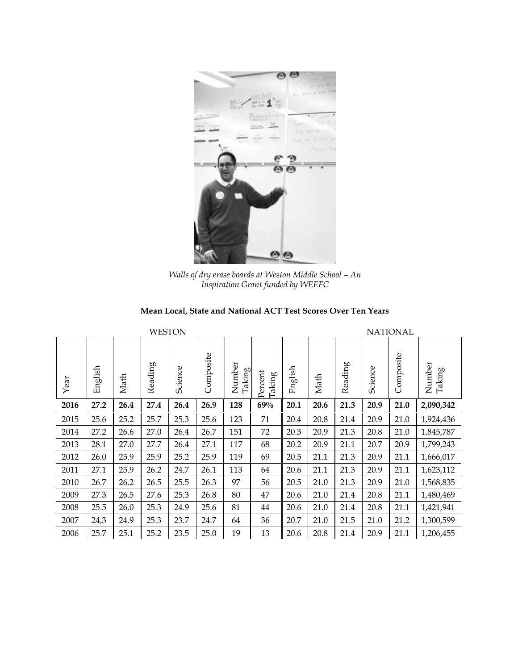

*Walls of dry erase boards at Weston Middle School – An Inspiration Grant funded by WEEFC*

| Mean Local, State and National ACT Test Scores Over Ten Years |  |
|---------------------------------------------------------------|--|
|---------------------------------------------------------------|--|

| <b>WESTON</b> |         |      |         |         |           |                  |                   |         |      |         |         | <b>NATIONAL</b> |                  |
|---------------|---------|------|---------|---------|-----------|------------------|-------------------|---------|------|---------|---------|-----------------|------------------|
| Year          | English | Math | Reading | Science | Composite | Number<br>Taking | Percent<br>Taking | English | Math | Reading | Science | Composite       | Number<br>Taking |
| 2016          | 27.2    | 26.4 | 27.4    | 26.4    | 26.9      | 128              | 69%               | 20.1    | 20.6 | 21.3    | 20.9    | 21.0            | 2,090,342        |
| 2015          | 25.6    | 25.2 | 25.7    | 25.3    | 25.6      | 123              | 71                | 20.4    | 20.8 | 21.4    | 20.9    | 21.0            | 1,924,436        |
| 2014          | 27.2    | 26.6 | 27.0    | 26.4    | 26.7      | 151              | 72                | 20.3    | 20.9 | 21.3    | 20.8    | 21.0            | 1,845,787        |
| 2013          | 28.1    | 27.0 | 27.7    | 26.4    | 27.1      | 117              | 68                | 20.2    | 20.9 | 21.1    | 20.7    | 20.9            | 1,799,243        |
| 2012          | 26.0    | 25.9 | 25.9    | 25.2    | 25.9      | 119              | 69                | 20.5    | 21.1 | 21.3    | 20.9    | 21.1            | 1,666,017        |
| 2011          | 27.1    | 25.9 | 26.2    | 24.7    | 26.1      | 113              | 64                | 20.6    | 21.1 | 21.3    | 20.9    | 21.1            | 1,623,112        |
| 2010          | 26.7    | 26.2 | 26.5    | 25.5    | 26.3      | 97               | 56                | 20.5    | 21.0 | 21.3    | 20.9    | 21.0            | 1,568,835        |
| 2009          | 27.3    | 26.5 | 27.6    | 25.3    | 26.8      | 80               | 47                | 20.6    | 21.0 | 21.4    | 20.8    | 21.1            | 1,480,469        |
| 2008          | 25.5    | 26.0 | 25.3    | 24.9    | 25.6      | 81               | 44                | 20.6    | 21.0 | 21.4    | 20.8    | 21.1            | 1,421,941        |
| 2007          | 24,3    | 24.9 | 25.3    | 23.7    | 24.7      | 64               | 36                | 20.7    | 21.0 | 21.5    | 21.0    | 21.2            | 1,300,599        |
| 2006          | 25.7    | 25.1 | 25.2    | 23.5    | 25.0      | 19               | 13                | 20.6    | 20.8 | 21.4    | 20.9    | 21.1            | 1,206,455        |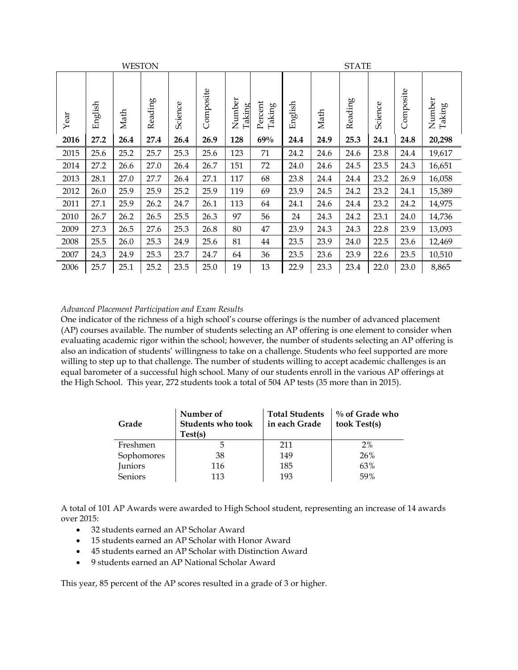|      |         | <b>WESTON</b> |         |         |           |                  |                   |         | <b>STATE</b> |         |         |           |                  |
|------|---------|---------------|---------|---------|-----------|------------------|-------------------|---------|--------------|---------|---------|-----------|------------------|
| Year | English | Math          | Reading | Science | Composite | Number<br>Taking | Percent<br>Taking | English | Math         | Reading | Science | Composite | Number<br>Taking |
| 2016 | 27.2    | 26.4          | 27.4    | 26.4    | 26.9      | 128              | 69%               | 24.4    | 24.9         | 25.3    | 24.1    | 24.8      | 20,298           |
| 2015 | 25.6    | 25.2          | 25.7    | 25.3    | 25.6      | 123              | 71                | 24.2    | 24.6         | 24.6    | 23.8    | 24.4      | 19,617           |
| 2014 | 27.2    | 26.6          | 27.0    | 26.4    | 26.7      | 151              | 72                | 24.0    | 24.6         | 24.5    | 23.5    | 24.3      | 16,651           |
| 2013 | 28.1    | 27.0          | 27.7    | 26.4    | 27.1      | 117              | 68                | 23.8    | 24.4         | 24.4    | 23.2    | 26.9      | 16,058           |
| 2012 | 26.0    | 25.9          | 25.9    | 25.2    | 25.9      | 119              | 69                | 23.9    | 24.5         | 24.2    | 23.2    | 24.1      | 15,389           |
| 2011 | 27.1    | 25.9          | 26.2    | 24.7    | 26.1      | 113              | 64                | 24.1    | 24.6         | 24.4    | 23.2    | 24.2      | 14,975           |
| 2010 | 26.7    | 26.2          | 26.5    | 25.5    | 26.3      | 97               | 56                | 24      | 24.3         | 24.2    | 23.1    | 24.0      | 14,736           |
| 2009 | 27.3    | 26.5          | 27.6    | 25.3    | 26.8      | 80               | 47                | 23.9    | 24.3         | 24.3    | 22.8    | 23.9      | 13,093           |
| 2008 | 25.5    | 26.0          | 25.3    | 24.9    | 25.6      | 81               | 44                | 23.5    | 23.9         | 24.0    | 22.5    | 23.6      | 12,469           |
| 2007 | 24,3    | 24.9          | 25.3    | 23.7    | 24.7      | 64               | 36                | 23.5    | 23.6         | 23.9    | 22.6    | 23.5      | 10,510           |
| 2006 | 25.7    | 25.1          | 25.2    | 23.5    | 25.0      | 19               | 13                | 22.9    | 23.3         | 23.4    | 22.0    | 23.0      | 8,865            |

# *Advanced Placement Participation and Exam Results*

One indicator of the richness of a high school's course offerings is the number of advanced placement (AP) courses available. The number of students selecting an AP offering is one element to consider when evaluating academic rigor within the school; however, the number of students selecting an AP offering is also an indication of students' willingness to take on a challenge. Students who feel supported are more willing to step up to that challenge. The number of students willing to accept academic challenges is an equal barometer of a successful high school. Many of our students enroll in the various AP offerings at the High School. This year, 272 students took a total of 504 AP tests (35 more than in 2015).

| Grade          | Number of<br><b>Students who took</b><br>Test(s) | <b>Total Students</b><br>in each Grade | $\%$ of Grade who<br>took Test(s) |
|----------------|--------------------------------------------------|----------------------------------------|-----------------------------------|
| Freshmen       |                                                  | 211                                    | 2%                                |
| Sophomores     | 38                                               | 149                                    | 26%                               |
| Juniors        | 116                                              | 185                                    | 63%                               |
| <b>Seniors</b> | 113                                              | 193                                    | 59%                               |

A total of 101 AP Awards were awarded to High School student, representing an increase of 14 awards over 2015:

- 32 students earned an AP Scholar Award
- 15 students earned an AP Scholar with Honor Award
- 45 students earned an AP Scholar with Distinction Award
- 9 students earned an AP National Scholar Award

This year, 85 percent of the AP scores resulted in a grade of 3 or higher.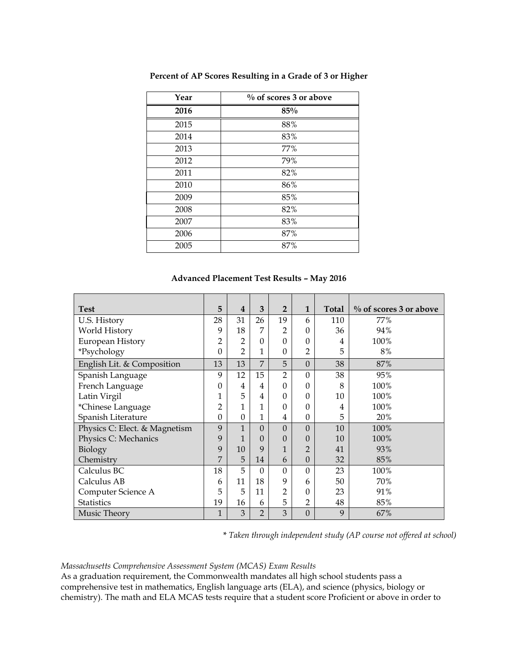| Year | $\%$ of scores 3 or above |
|------|---------------------------|
| 2016 | 85%                       |
| 2015 | 88%                       |
| 2014 | 83%                       |
| 2013 | 77%                       |
| 2012 | 79%                       |
| 2011 | 82%                       |
| 2010 | 86%                       |
| 2009 | 85%                       |
| 2008 | 82%                       |
| 2007 | 83%                       |
| 2006 | 87%                       |
| 2005 | 87%                       |

**Percent of AP Scores Resulting in a Grade of 3 or Higher**

## **Advanced Placement Test Results – May 2016**

| <b>Test</b>                   | 5              | 4              | 3              | $\overline{2}$   | $\mathbf{1}$   | <b>Total</b> | $\%$ of scores 3 or above |
|-------------------------------|----------------|----------------|----------------|------------------|----------------|--------------|---------------------------|
| U.S. History                  | 28             | 31             | 26             | 19               | 6              | 110          | 77%                       |
| World History                 | 9              | 18             | 7              | $\overline{2}$   | 0              | 36           | 94%                       |
| European History              | $\overline{2}$ | $\overline{2}$ | $\Omega$       | $\Omega$         | $\Omega$       | 4            | 100%                      |
| *Psychology                   | $\Omega$       | $\overline{2}$ | 1              | $\theta$         | $\overline{2}$ | 5            | 8%                        |
| English Lit. & Composition    | 13             | 13             | $\overline{7}$ | 5                | $\Omega$       | 38           | 87%                       |
| Spanish Language              | 9              | 12             | 15             | $\overline{2}$   | $\Omega$       | 38           | 95%                       |
| French Language               | $\theta$       | 4              | 4              | $\theta$         | 0              | 8            | 100%                      |
| Latin Virgil                  | 1              | 5              | 4              | $\theta$         | 0              | 10           | 100%                      |
| *Chinese Language             | $\overline{2}$ | $\mathbf{1}$   | 1              | $\theta$         | 0              | 4            | 100%                      |
| Spanish Literature            | $\theta$       | $\Omega$       | 1              | 4                | $\theta$       | 5            | 20%                       |
| Physics C: Elect. & Magnetism | 9              | $\mathbf{1}$   | $\Omega$       | $\overline{0}$   | $\Omega$       | 10           | 100%                      |
| Physics C: Mechanics          | 9              | 1              | $\Omega$       | $\overline{0}$   | $\Omega$       | 10           | 100%                      |
| Biology                       | 9              | 10             | 9              | 1                | $\overline{2}$ | 41           | 93%                       |
| Chemistry                     | 7              | 5              | 14             | 6                | $\theta$       | 32           | 85%                       |
| Calculus BC                   | 18             | 5              | $\Omega$       | $\boldsymbol{0}$ | $\Omega$       | 23           | 100%                      |
| Calculus AB                   | 6              | 11             | 18             | 9                | 6              | 50           | 70%                       |
| Computer Science A            | 5              | 5              | 11             | 2                | 0              | 23           | 91%                       |
| <b>Statistics</b>             | 19             | 16             | 6              | 5                | $\overline{2}$ | 48           | 85%                       |
| Music Theory                  | 1              | 3              | $\mathfrak{D}$ | 3                | $\Omega$       | 9            | 67%                       |

*\* Taken through independent study (AP course not offered at school)*

#### *Massachusetts Comprehensive Assessment System (MCAS) Exam Results*

As a graduation requirement, the Commonwealth mandates all high school students pass a comprehensive test in mathematics, English language arts (ELA), and science (physics, biology or chemistry). The math and ELA MCAS tests require that a student score Proficient or above in order to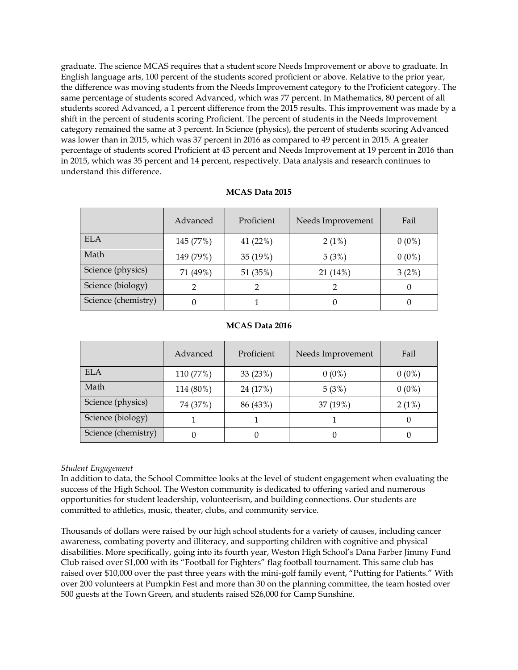graduate. The science MCAS requires that a student score Needs Improvement or above to graduate. In English language arts, 100 percent of the students scored proficient or above. Relative to the prior year, the difference was moving students from the Needs Improvement category to the Proficient category. The same percentage of students scored Advanced, which was 77 percent. In Mathematics, 80 percent of all students scored Advanced, a 1 percent difference from the 2015 results. This improvement was made by a shift in the percent of students scoring Proficient. The percent of students in the Needs Improvement category remained the same at 3 percent. In Science (physics), the percent of students scoring Advanced was lower than in 2015, which was 37 percent in 2016 as compared to 49 percent in 2015. A greater percentage of students scored Proficient at 43 percent and Needs Improvement at 19 percent in 2016 than in 2015, which was 35 percent and 14 percent, respectively. Data analysis and research continues to understand this difference.

|                     | Advanced  | Proficient | Needs Improvement | Fail     |
|---------------------|-----------|------------|-------------------|----------|
| ELA                 | 145 (77%) | 41 (22%)   | $2(1\%)$          | $0(0\%)$ |
| Math                | 149 (79%) | 35 (19%)   | 5(3%)             | $0(0\%)$ |
| Science (physics)   | 71 (49%)  | 51 (35%)   | 21 (14%)          | 3(2%)    |
| Science (biology)   |           |            |                   | 0        |
| Science (chemistry) |           |            |                   |          |

#### **MCAS Data 2015**

#### **MCAS Data 2016**

|                     | Advanced  | Proficient | Needs Improvement | Fail     |
|---------------------|-----------|------------|-------------------|----------|
| ELA                 | 110 (77%) | 33 $(23%)$ | $0(0\%)$          | $0(0\%)$ |
| Math                | 114 (80%) | 24 (17%)   | 5(3%)             | $0(0\%)$ |
| Science (physics)   | 74 (37%)  | 86 (43%)   | 37 (19%)          | $2(1\%)$ |
| Science (biology)   |           |            |                   |          |
| Science (chemistry) |           |            |                   |          |

#### *Student Engagement*

In addition to data, the School Committee looks at the level of student engagement when evaluating the success of the High School. The Weston community is dedicated to offering varied and numerous opportunities for student leadership, volunteerism, and building connections. Our students are committed to athletics, music, theater, clubs, and community service.

Thousands of dollars were raised by our high school students for a variety of causes, including cancer awareness, combating poverty and illiteracy, and supporting children with cognitive and physical disabilities. More specifically, going into its fourth year, Weston High School's Dana Farber Jimmy Fund Club raised over \$1,000 with its "Football for Fighters" flag football tournament. This same club has raised over \$10,000 over the past three years with the mini-golf family event, "Putting for Patients." With over 200 volunteers at Pumpkin Fest and more than 30 on the planning committee, the team hosted over 500 guests at the Town Green, and students raised \$26,000 for Camp Sunshine.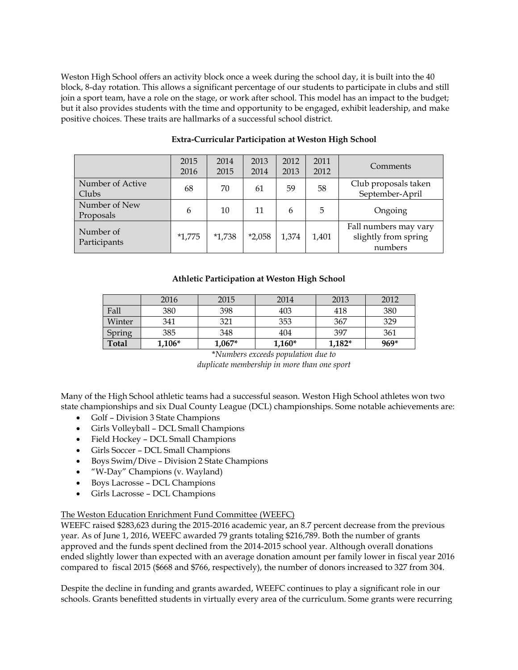Weston High School offers an activity block once a week during the school day, it is built into the 40 block, 8-day rotation. This allows a significant percentage of our students to participate in clubs and still join a sport team, have a role on the stage, or work after school. This model has an impact to the budget; but it also provides students with the time and opportunity to be engaged, exhibit leadership, and make positive choices. These traits are hallmarks of a successful school district.

|                            | 2015<br>2016 | 2014<br>2015 | 2013<br>2014 | 2012<br>2013 | 2011<br>2012 | Comments                                                 |
|----------------------------|--------------|--------------|--------------|--------------|--------------|----------------------------------------------------------|
| Number of Active<br>Clubs  | 68           | 70           | 61           | 59           | 58           | Club proposals taken<br>September-April                  |
| Number of New<br>Proposals | 6            | 10           | 11           | 6            | 5            | Ongoing                                                  |
| Number of<br>Participants  | $*1,775$     | $*1,738$     | $*2,058$     | 1,374        | 1,401        | Fall numbers may vary<br>slightly from spring<br>numbers |

# **Extra-Curricular Participation at Weston High School**

# **Athletic Participation at Weston High School**

|        | 2016     | 2015     | 2014     | 2013     | 2012   |
|--------|----------|----------|----------|----------|--------|
| Fall   | 380      | 398      | 403      | 418      | 380    |
| Winter | 341      | 321      | 353      | 367      | 329    |
| Spring | 385      | 348      | 404      | 397      | 361    |
| Total  | $1,106*$ | $1,067*$ | $1,160*$ | $1,182*$ | $969*$ |

\**Numbers exceeds population due to duplicate membership in more than one sport*

Many of the High School athletic teams had a successful season. Weston High School athletes won two state championships and six Dual County League (DCL) championships. Some notable achievements are:

- Golf Division 3 State Champions
- Girls Volleyball DCL Small Champions
- Field Hockey DCL Small Champions
- Girls Soccer DCL Small Champions
- Boys Swim/Dive Division 2 State Champions
- "W-Day" Champions (v. Wayland)
- Boys Lacrosse DCL Champions
- Girls Lacrosse DCL Champions

## The Weston Education Enrichment Fund Committee (WEEFC)

WEEFC raised \$283,623 during the 2015-2016 academic year, an 8.7 percent decrease from the previous year. As of June 1, 2016, WEEFC awarded 79 grants totaling \$216,789. Both the number of grants approved and the funds spent declined from the 2014-2015 school year. Although overall donations ended slightly lower than expected with an average donation amount per family lower in fiscal year 2016 compared to fiscal 2015 (\$668 and \$766, respectively), the number of donors increased to 327 from 304.

Despite the decline in funding and grants awarded, WEEFC continues to play a significant role in our schools. Grants benefitted students in virtually every area of the curriculum. Some grants were recurring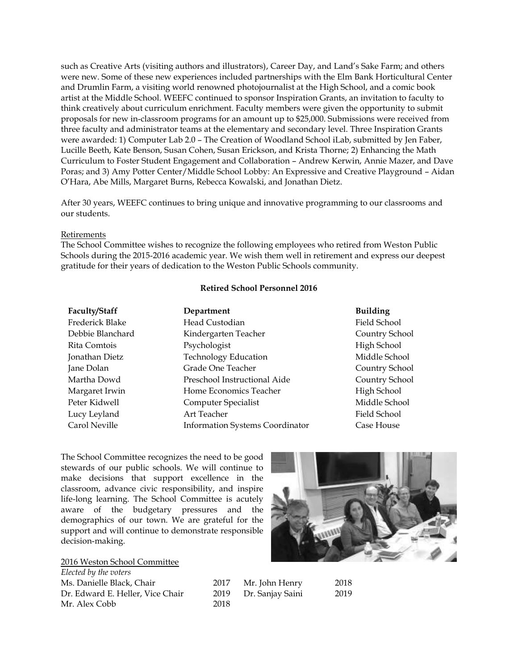such as Creative Arts (visiting authors and illustrators), Career Day, and Land's Sake Farm; and others were new. Some of these new experiences included partnerships with the Elm Bank Horticultural Center and Drumlin Farm, a visiting world renowned photojournalist at the High School, and a comic book artist at the Middle School. WEEFC continued to sponsor Inspiration Grants, an invitation to faculty to think creatively about curriculum enrichment. Faculty members were given the opportunity to submit proposals for new in-classroom programs for an amount up to \$25,000. Submissions were received from three faculty and administrator teams at the elementary and secondary level. Three Inspiration Grants were awarded: 1) Computer Lab 2.0 – The Creation of Woodland School iLab, submitted by Jen Faber, Lucille Beeth, Kate Benson, Susan Cohen, Susan Erickson, and Krista Thorne; 2) Enhancing the Math Curriculum to Foster Student Engagement and Collaboration – Andrew Kerwin, Annie Mazer, and Dave Poras; and 3) Amy Potter Center/Middle School Lobby: An Expressive and Creative Playground – Aidan O'Hara, Abe Mills, Margaret Burns, Rebecca Kowalski, and Jonathan Dietz.

After 30 years, WEEFC continues to bring unique and innovative programming to our classrooms and our students.

#### Retirements

The School Committee wishes to recognize the following employees who retired from Weston Public Schools during the 2015-2016 academic year. We wish them well in retirement and express our deepest gratitude for their years of dedication to the Weston Public Schools community.

#### **Retired School Personnel 2016**

| Faculty/Staff    | Department                             | <b>Building</b> |
|------------------|----------------------------------------|-----------------|
| Frederick Blake  | Head Custodian                         | Field School    |
| Debbie Blanchard | Kindergarten Teacher                   | Country Sch     |
| Rita Comtois     | Psychologist                           | High School     |
| Jonathan Dietz   | <b>Technology Education</b>            | Middle Schc     |
| Jane Dolan       | Grade One Teacher                      | Country Sch     |
| Martha Dowd      | Preschool Instructional Aide           | Country Sch     |
| Margaret Irwin   | Home Economics Teacher                 | High School     |
| Peter Kidwell    | Computer Specialist                    | Middle Schc     |
| Lucy Leyland     | Art Teacher                            | Field School    |
| Carol Neville    | <b>Information Systems Coordinator</b> | Case House      |

**Faculty/Staff Department Building** Field School Country School High School Middle School Country School Country School High School Middle School

The School Committee recognizes the need to be good stewards of our public schools. We will continue to make decisions that support excellence in the classroom, advance civic responsibility, and inspire life-long learning. The School Committee is acutely aware of the budgetary pressures and the demographics of our town. We are grateful for the support and will continue to demonstrate responsible decision-making.

2016 Weston School Committee *Elected by the voters* Ms. Danielle Black, Chair 2017 Mr. John Henry 2018 Dr. Edward E. Heller, Vice Chair 2019 Dr. Sanjay Saini 2019 Mr. Alex Cobb 2018

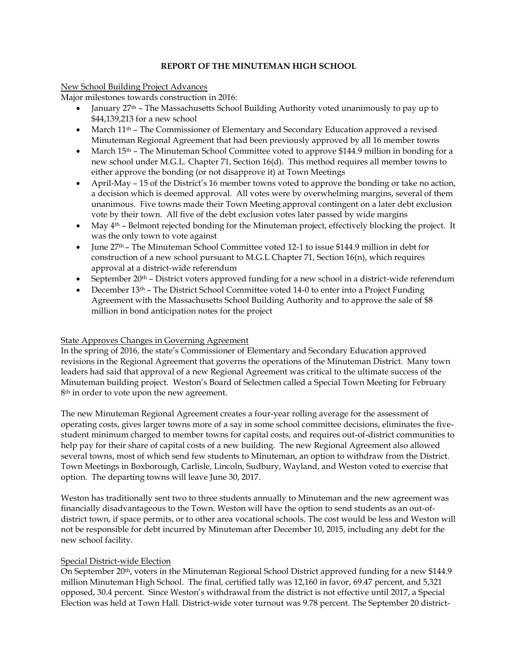# **REPORT OF THE MINUTEMAN HIGH SCHOOL**

# New School Building Project Advances

Major milestones towards construction in 2016:

- January  $27<sup>th</sup>$  The Massachusetts School Building Authority voted unanimously to pay up to \$44,139,213 for a new school
- March 11<sup>th</sup> The Commissioner of Elementary and Secondary Education approved a revised Minuteman Regional Agreement that had been previously approved by all 16 member towns
- March 15<sup>th</sup> The Minuteman School Committee voted to approve \$144.9 million in bonding for a new school under M.G.L. Chapter 71, Section 16(d). This method requires all member towns to either approve the bonding (or not disapprove it) at Town Meetings
- April-May 15 of the District's 16 member towns voted to approve the bonding or take no action, a decision which is deemed approval. All votes were by overwhelming margins, several of them unanimous. Five towns made their Town Meeting approval contingent on a later debt exclusion vote by their town. All five of the debt exclusion votes later passed by wide margins
- $\bullet$  May  $4<sup>th</sup>$  Belmont rejected bonding for the Minuteman project, effectively blocking the project. It was the only town to vote against
- June 27th The Minuteman School Committee voted 12-1 to issue \$144.9 million in debt for construction of a new school pursuant to M.G.L Chapter 71, Section 16(n), which requires approval at a district-wide referendum
- $\bullet$  September 20<sup>th</sup> District voters approved funding for a new school in a district-wide referendum
- December  $13<sup>th</sup>$  The District School Committee voted 14-0 to enter into a Project Funding Agreement with the Massachusetts School Building Authority and to approve the sale of \$8 million in bond anticipation notes for the project

## State Approves Changes in Governing Agreement

In the spring of 2016, the state's Commissioner of Elementary and Secondary Education approved revisions in the Regional Agreement that governs the operations of the Minuteman District. Many town leaders had said that approval of a new Regional Agreement was critical to the ultimate success of the Minuteman building project. Weston's Board of Selectmen called a Special Town Meeting for February 8<sup>th</sup> in order to vote upon the new agreement.

The new Minuteman Regional Agreement creates a four-year rolling average for the assessment of operating costs, gives larger towns more of a say in some school committee decisions, eliminates the fivestudent minimum charged to member towns for capital costs, and requires out-of-district communities to help pay for their share of capital costs of a new building. The new Regional Agreement also allowed several towns, most of which send few students to Minuteman, an option to withdraw from the District. Town Meetings in Boxborough, Carlisle, Lincoln, Sudbury, Wayland, and Weston voted to exercise that option. The departing towns will leave June 30, 2017.

Weston has traditionally sent two to three students annually to Minuteman and the new agreement was financially disadvantageous to the Town. Weston will have the option to send students as an out-ofdistrict town, if space permits, or to other area vocational schools. The cost would be less and Weston will not be responsible for debt incurred by Minuteman after December 10, 2015, including any debt for the new school facility.

## Special District-wide Election

On September 20th, voters in the Minuteman Regional School District approved funding for a new \$144.9 million Minuteman High School. The final, certified tally was 12,160 in favor, 69.47 percent, and 5,321 opposed, 30.4 percent. Since Weston's withdrawal from the district is not effective until 2017, a Special Election was held at Town Hall. District-wide voter turnout was 9.78 percent. The September 20 district